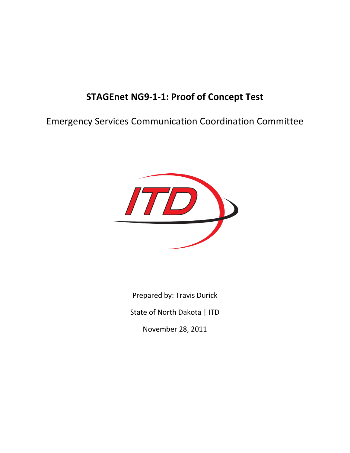# **STAGEnet NG9-1-1: Proof of Concept Test**

Emergency Services Communication Coordination Committee



Prepared by: Travis Durick State of North Dakota | ITD November 28, 2011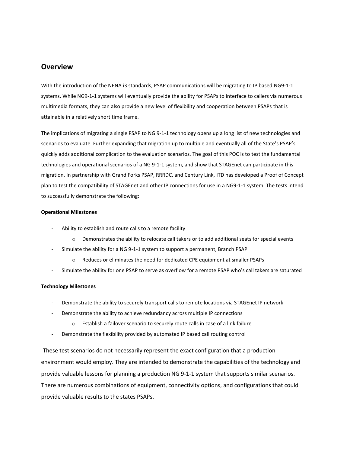### **Overview**

With the introduction of the NENA i3 standards, PSAP communications will be migrating to IP based NG9-1-1 systems. While NG9-1-1 systems will eventually provide the ability for PSAPs to interface to callers via numerous multimedia formats, they can also provide a new level of flexibility and cooperation between PSAPs that is attainable in a relatively short time frame.

The implications of migrating a single PSAP to NG 9-1-1 technology opens up a long list of new technologies and scenarios to evaluate. Further expanding that migration up to multiple and eventually all of the State's PSAP's quickly adds additional complication to the evaluation scenarios. The goal of this POC is to test the fundamental technologies and operational scenarios of a NG 9-1-1 system, and show that STAGEnet can participate in this migration. In partnership with Grand Forks PSAP, RRRDC, and Century Link, ITD has developed a Proof of Concept plan to test the compatibility of STAGEnet and other IP connections for use in a NG9-1-1 system. The tests intend to successfully demonstrate the following:

#### **Operational Milestones**

- Ability to establish and route calls to a remote facility
	- o Demonstrates the ability to relocate call takers or to add additional seats for special events
- Simulate the ability for a NG 9-1-1 system to support a permanent, Branch PSAP
	- o Reduces or eliminates the need for dedicated CPE equipment at smaller PSAPs
- Simulate the ability for one PSAP to serve as overflow for a remote PSAP who's call takers are saturated

#### **Technology Milestones**

- Demonstrate the ability to securely transport calls to remote locations via STAGEnet IP network
- Demonstrate the ability to achieve redundancy across multiple IP connections
	- o Establish a failover scenario to securely route calls in case of a link failure
- Demonstrate the flexibility provided by automated IP based call routing control

These test scenarios do not necessarily represent the exact configuration that a production environment would employ. They are intended to demonstrate the capabilities of the technology and provide valuable lessons for planning a production NG 9-1-1 system that supports similar scenarios. There are numerous combinations of equipment, connectivity options, and configurations that could provide valuable results to the states PSAPs.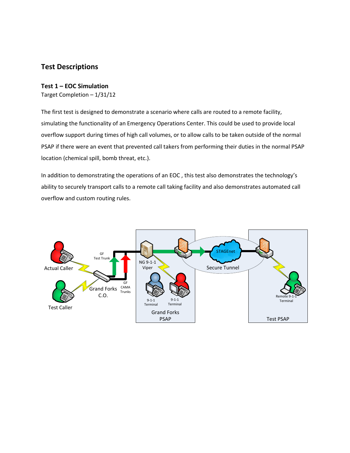# **Test Descriptions**

#### **Test 1 – EOC Simulation**

Target Completion – 1/31/12

The first test is designed to demonstrate a scenario where calls are routed to a remote facility, simulating the functionality of an Emergency Operations Center. This could be used to provide local overflow support during times of high call volumes, or to allow calls to be taken outside of the normal PSAP if there were an event that prevented call takers from performing their duties in the normal PSAP location (chemical spill, bomb threat, etc.).

In addition to demonstrating the operations of an EOC , this test also demonstrates the technology's ability to securely transport calls to a remote call taking facility and also demonstrates automated call overflow and custom routing rules.

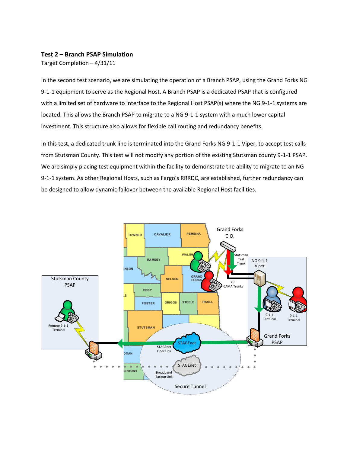#### **Test 2 – Branch PSAP Simulation**

Target Completion – 4/31/11

In the second test scenario, we are simulating the operation of a Branch PSAP, using the Grand Forks NG 9-1-1 equipment to serve as the Regional Host. A Branch PSAP is a dedicated PSAP that is configured with a limited set of hardware to interface to the Regional Host PSAP(s) where the NG 9-1-1 systems are located. This allows the Branch PSAP to migrate to a NG 9-1-1 system with a much lower capital investment. This structure also allows for flexible call routing and redundancy benefits.

In this test, a dedicated trunk line is terminated into the Grand Forks NG 9-1-1 Viper, to accept test calls from Stutsman County. This test will not modify any portion of the existing Stutsman county 9-1-1 PSAP. We are simply placing test equipment within the facility to demonstrate the ability to migrate to an NG 9-1-1 system. As other Regional Hosts, such as Fargo's RRRDC, are established, further redundancy can be designed to allow dynamic failover between the available Regional Host facilities.